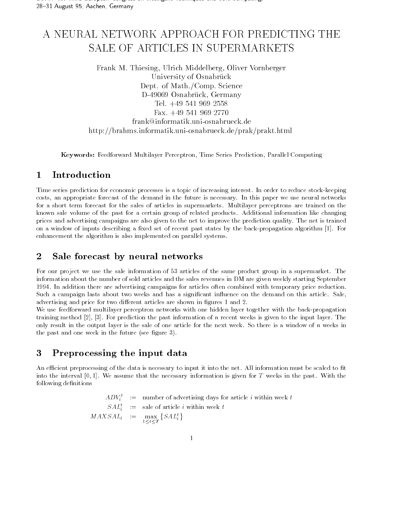# A NEURAL NETWORK APPROACH FOR PREDICTING THE SALE OF ARTICLES IN SUPERMARKETS

Frank M. Thiesing, Ulrich Middelberg, Oliver Vornberger University of Osnabruck Dept. of Math./Comp. Science 17- T.A.O.O. - V.O.H. G.O. LUCK - V.V. LITREHTY  $1 \text{C1.} + 1 \text{C}$   $0 \text{C1.}$   $0 \text{C1.}$   $0 \text{C1.}$ Fax frank@informatik.uni-osnabrueck.de http://brahms.informatik.uni-osnabrueck.de/prak/prakt.html

Keywords: Feedforward Multilayer Perceptron, Time Series Prediction, Parallel Computing

#### $\mathbf 1$ Introduction

Time series prediction for economic processes is a topic of increasing interest In order to reduce stock-keeping costs an appropriate forecast of the demand in the future is necessary In this paper we use neural networks for a short term forecast for the sales of articles in supermarkets. Multilayer perceptrons are trained on the known sale volume of the past for a certain group of related products Additional information like changing prices and advertising campaigns are also given to the net to improve the prediction quality The net is trained on a window of inputs describing a xed set of recent past states by the back-propagation algorithm For enhancement the algorithm is also implemented on parallel systems

#### $\overline{2}$ Sale forecast by neural networks

For our project we use the sale information of 53 articles of the same product group in a supermarket. The information about the number of sold articles and the sales revenues in DM are given weekly starting September In addition there are advertising campaigns for articles of articles of articles of articles of  $\mathcal{A}$ Such a campaign lasts about two weeks and has a significant influence on the demand on this article. Sale, advertising and price for two different articles are shown in figures 1 and 2.

we use feedforward multiplayer perceptron networks with one hidden layer together with the back-propagation of training method  $[2]$ ,  $[3]$ . For prediction the past information of n recent weeks is given to the input layer. The only result in the output layer is the sale of one article for the next week So there is a window of n weeks in the past and one week in the future (see figure 3).

#### 3 Preprocessing the input data

An efficient preprocessing of the data is necessary to input it into the net. All information must be scaled to fit into the interval  $[0,1]$ . We assume that the necessary information is given for T weeks in the past. With the following definitions

> $ADV_i$  = number of advertising days for article i within week  $t$  $SAL_i$  = sale of article i within week i  $MAXSAL_i$  :=  $\max_{1 \leq t \leq T} \{SAL_i^t\}$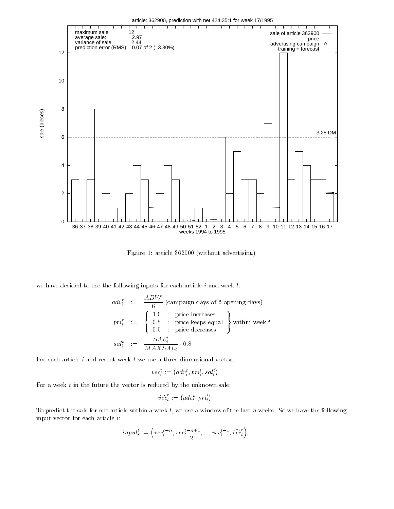

Figure 1: article  $362900$  (without advertising)

we have decided to use the following inputs for each article  $i$  and week  $t$ :

$$
adv_i^t := \frac{ADV_i^t}{6} \text{ (commain days of 6 opening days)}
$$
\n
$$
pri_i^t := \begin{cases}\n1.0 : \text{price increases} \\
0.5 : \text{price keeps equal} \\
0.0 : \text{price decreases}\n\end{cases} \text{ within week } t
$$
\n
$$
sal_i^t := \frac{SAL_i^t}{MAXSAL_i} \cdot 0.8
$$

$$
vec_i^t := (adv_i^t, pri_i^t, sal_i^t)
$$

MAXSALi

For a week  $t$  in the future the vector is reduced by the unknown sale:

$$
\widehat{vec}^t_i := \left( adv^t_i, pri^t_i \right)
$$

To predict the sale for one article within a week  $t$ , we use a window of the last n weeks. So we have the following input vector for each article i

$$
input_i^t := \left( vec_i^{t-n}, vec_i^{t-n+1}, ..., vec_i^{t-1}, \widehat{vec}_i^t \right)
$$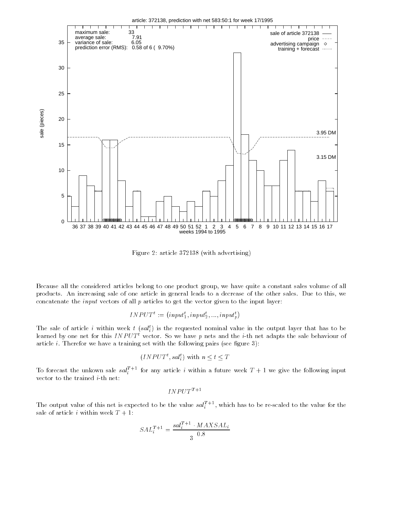

Figure 2: article  $372138$  (with advertising)

Because all the considered articles belong to one product group we have quite a constant sales volume of all products. An increasing sale of one article in general leads to a decrease of the other sales. Due to this, we concatenate the input vectors of all p articles to get the vector given to the input layer

$$
INPUT^t := (input_1^t, input_2^t, ..., input_n^t)
$$

The sale of article  $i$  within week  $i$  (sat<sub>i</sub>) is the requested nominal value in the output layer that has to be rearned by one net for this *INPUT* vector. So we have  $p$  nets and the  $i$ -th net adapts the sale behaviour of article *i*. Therefor we have a training set with the following pairs (see figure 3):

$$
(INPUTt, salti)
$$
 with  $n \leq t \leq T$ 

To forecast the unkown sale  $\mathit{sat}^\tau_i$  for any article  $i$  within a future week  $T+1$  we give the following input

$$
INPUT^{T+1}
$$

The output value of this net is expected to be the value  $sat_i^{\pm}$ , which has to be re-scaled to the value for the sale of article *i* within week  $T + 1$ :

$$
SAL_i^{T+1} = \frac{sal_i^{T+1} \cdot MAXSAL_i}{3 \quad 0.8}
$$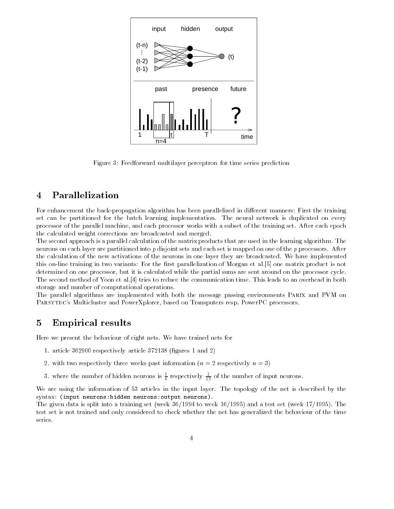

Figure 3: Feedforward multilayer perceptron for time series prediction

### 4 Parallelization

For enhancement the back-propagation algorithm has been parallelized in dierent manners First the training set can be partitioned for the batch learning implementation. The neural network is duplicated on every processor of the parallel machine, and each processor works with a subset of the training set. After each epoch the calculated weight corrections are broadcasted and merged

The second approach is a parallel calculation of the matrix products that are used in the learning algorithm. The neurons on each layer are partitioned into  $p$  disjoint sets and each set is mapped on one of the  $p$  processors. After the calculation of the new activations of the neurons in one layer they are broadcasted. We have implemented this on-line training in two variants For the rst parallelization of Morgan et al one matrix product is not determined on one processor, but it is calculated while the partial sums are sent around on the processor cycle. The second method of Yoon et al tries to reduce the communication time This leads to an overhead in both storage and number of computational operations

The parallel algorithms are implemented with both the message passing environments PARIX and PVM on PARSYTEC's Multicluster and PowerXplorer, based on Transputers resp. PowerPC processors.

#### $\overline{5}$ Empirical results

Here we present the behaviour of eight nets We have trained nets for

- 1. article  $362900$  respectively article  $372138$  (figures 1 and 2)
- 2. with two respectively three weeks past information  $(n = 2$  respectively  $n = 3$ )
- 3. Where the number of hidden neurons is  $\frac{1}{6}$  respectively  $\frac{1}{12}$  of the number of input neurons.

We are using the information of 53 articles in the input layer. The topology of the net is described by the syntax input neuronshidden neuronsoutput neurons-

The given and is speed that a training set week of your collection of your and and the set week of your set we test set is not trained and only considered to check whether the net has generalized the behaviour of the time series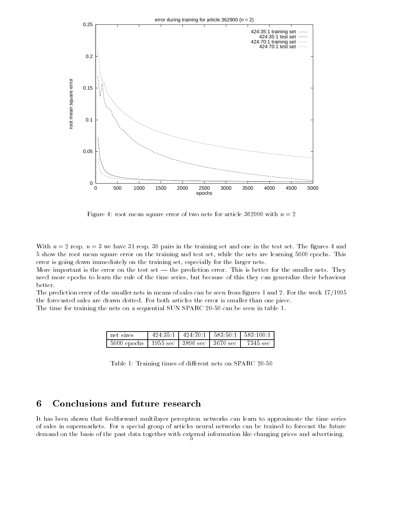

 $\Gamma$  root mean square error of two nets for article  $\Gamma$ 

with n we have the contract of the training set and one in the test set the test set the test sequence of the g 5 show the root mean square error on the training and test set, while the nets are learning 5000 epochs. This error is going down immediately on the training set, especially for the larger nets.

More important is the error on the test set  $-$  the prediction error. This is better for the smaller nets. They need more epochs to learn the rule of the time series but because of this they can generalize their behaviour better

The prediction error of the smaller nets in means of sales can be seen from figures 1 and 2. For the week 17/1995 the forecasted sales are drawn dotted. For both articles the error is smaller than one piece.

The time for training the nets on a sequential SUN SPARC 
- can be seen in table

| net sizes                 | 424.35:1 |                      | $424:70:1$   $583:50:1$   $583:100:1$ |
|---------------------------|----------|----------------------|---------------------------------------|
| $5000$ epochs $\parallel$ | 1955 sec | -3896 sec   3670 sec | 7345 sec                              |

Table Training times of dierent nets on SPARC 
-

#### 6 Conclusions and future research

It has been shown that feedforward multilayer perceptron networks can learn to approximate the time series of sales in supermarkets For a special group of articles neural networks can be trained to forecast the future demand on the basis of the past data together with external information like changing prices and advertising.